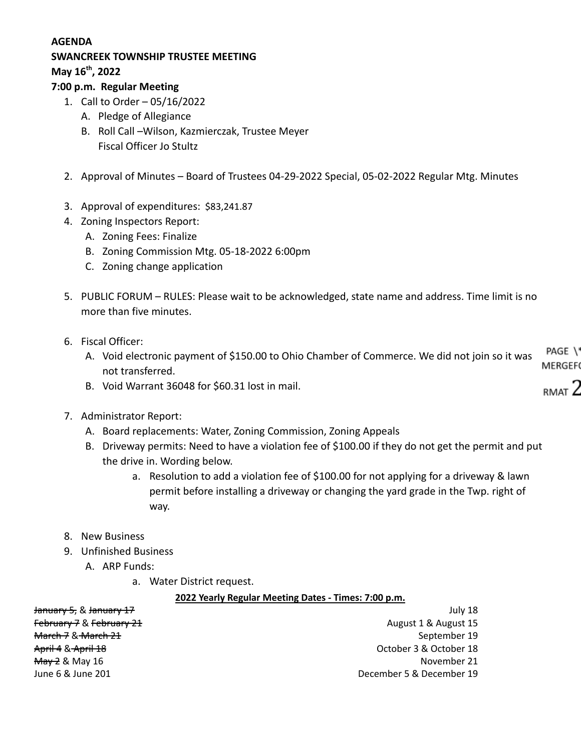## **AGENDA**

# **SWANCREEK TOWNSHIP TRUSTEE MEETING**

**May 16th , 2022**

### **7:00 p.m. Regular Meeting**

- 1. Call to Order 05/16/2022
	- A. Pledge of Allegiance
	- B. Roll Call –Wilson, Kazmierczak, Trustee Meyer Fiscal Officer Jo Stultz
- 2. Approval of Minutes Board of Trustees 04-29-2022 Special, 05-02-2022 Regular Mtg. Minutes
- 3. Approval of expenditures: \$83,241.87
- 4. Zoning Inspectors Report:
	- A. Zoning Fees: Finalize
	- B. Zoning Commission Mtg. 05-18-2022 6:00pm
	- C. Zoning change application
- 5. PUBLIC FORUM RULES: Please wait to be acknowledged, state name and address. Time limit is no more than five minutes.
- 6. Fiscal Officer:
	- A. Void electronic payment of \$150.00 to Ohio Chamber of Commerce. We did not join so it was not transferred.
	- B. Void Warrant 36048 for \$60.31 lost in mail.
- 7. Administrator Report:
	- A. Board replacements: Water, Zoning Commission, Zoning Appeals
	- B. Driveway permits: Need to have a violation fee of \$100.00 if they do not get the permit and put the drive in. Wording below.
		- a. Resolution to add a violation fee of \$100.00 for not applying for a driveway & lawn permit before installing a driveway or changing the yard grade in the Twp. right of way.
- 8. New Business
- 9. Unfinished Business
	- A. ARP Funds:
		- a. Water District request.

#### **2022 Yearly Regular Meeting Dates - Times: 7:00 p.m.**

| <del>January 5,</del> & <del>January 17</del> | July 18                  |
|-----------------------------------------------|--------------------------|
| February 7 & February 21                      | August 1 & August 15     |
| <del>March 7</del> & <del>March 21</del>      | September 19             |
| <del>April 4</del> & April 18                 | October 3 & October 18   |
| <del>May 2</del> & May 16                     | November 21              |
| June 6 & June 201                             | December 5 & December 19 |

PAGE \' MERGEF

rmat $2$